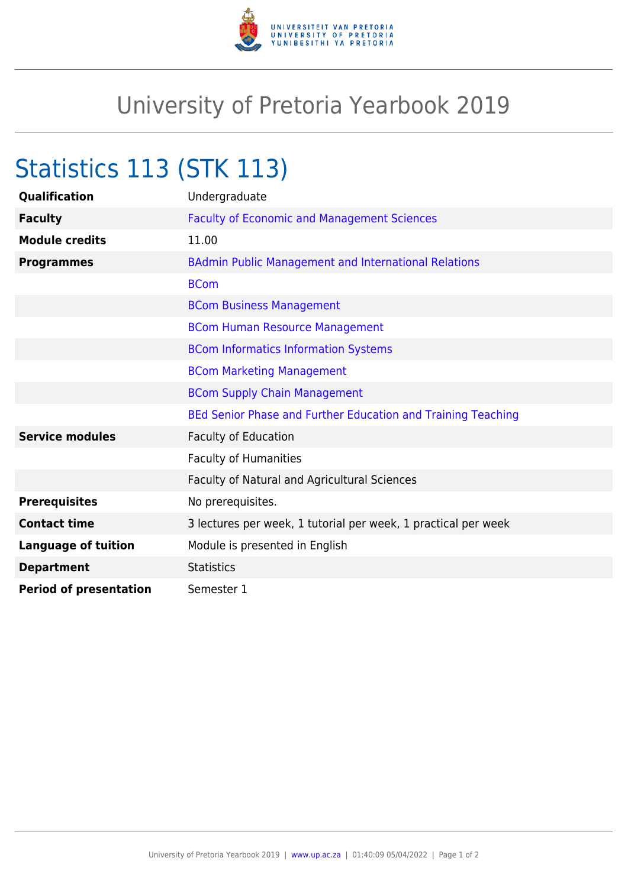

## University of Pretoria Yearbook 2019

## Statistics 113 (STK 113)

| Qualification                 | Undergraduate                                                  |
|-------------------------------|----------------------------------------------------------------|
| <b>Faculty</b>                | <b>Faculty of Economic and Management Sciences</b>             |
| <b>Module credits</b>         | 11.00                                                          |
| <b>Programmes</b>             | <b>BAdmin Public Management and International Relations</b>    |
|                               | <b>BCom</b>                                                    |
|                               | <b>BCom Business Management</b>                                |
|                               | <b>BCom Human Resource Management</b>                          |
|                               | <b>BCom Informatics Information Systems</b>                    |
|                               | <b>BCom Marketing Management</b>                               |
|                               | <b>BCom Supply Chain Management</b>                            |
|                               | BEd Senior Phase and Further Education and Training Teaching   |
| <b>Service modules</b>        | <b>Faculty of Education</b>                                    |
|                               | <b>Faculty of Humanities</b>                                   |
|                               | Faculty of Natural and Agricultural Sciences                   |
| <b>Prerequisites</b>          | No prerequisites.                                              |
| <b>Contact time</b>           | 3 lectures per week, 1 tutorial per week, 1 practical per week |
| <b>Language of tuition</b>    | Module is presented in English                                 |
| <b>Department</b>             | <b>Statistics</b>                                              |
| <b>Period of presentation</b> | Semester 1                                                     |